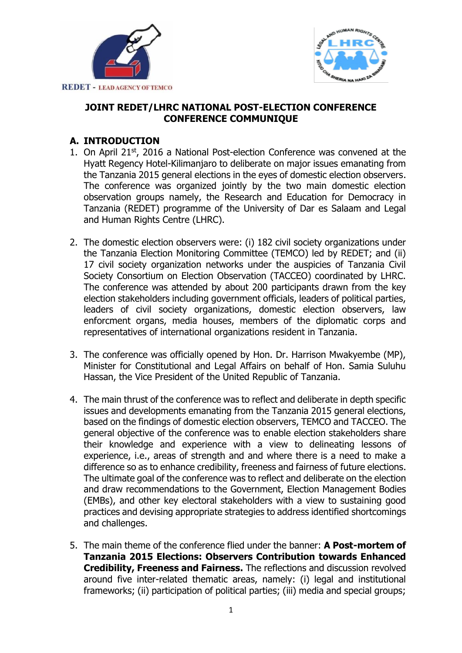



#### **JOINT REDET/LHRC NATIONAL POST-ELECTION CONFERENCE CONFERENCE COMMUNIQUE**

### **A. INTRODUCTION**

- 1. On April 21st, 2016 a National Post-election Conference was convened at the Hyatt Regency Hotel-Kilimanjaro to deliberate on major issues emanating from the Tanzania 2015 general elections in the eyes of domestic election observers. The conference was organized jointly by the two main domestic election observation groups namely, the Research and Education for Democracy in Tanzania (REDET) programme of the University of Dar es Salaam and Legal and Human Rights Centre (LHRC).
- 2. The domestic election observers were: (i) 182 civil society organizations under the Tanzania Election Monitoring Committee (TEMCO) led by REDET; and (ii) 17 civil society organization networks under the auspicies of Tanzania Civil Society Consortium on Election Observation (TACCEO) coordinated by LHRC. The conference was attended by about 200 participants drawn from the key election stakeholders including government officials, leaders of political parties, leaders of civil society organizations, domestic election observers, law enforcment organs, media houses, members of the diplomatic corps and representatives of international organizations resident in Tanzania.
- 3. The conference was officially opened by Hon. Dr. Harrison Mwakyembe (MP), Minister for Constitutional and Legal Affairs on behalf of Hon. Samia Suluhu Hassan, the Vice President of the United Republic of Tanzania.
- 4. The main thrust of the conference was to reflect and deliberate in depth specific issues and developments emanating from the Tanzania 2015 general elections, based on the findings of domestic election observers, TEMCO and TACCEO. The general objective of the conference was to enable election stakeholders share their knowledge and experience with a view to delineating lessons of experience, i.e., areas of strength and and where there is a need to make a difference so as to enhance credibility, freeness and fairness of future elections. The ultimate goal of the conference was to reflect and deliberate on the election and draw recommendations to the Government, Election Management Bodies (EMBs), and other key electoral stakeholders with a view to sustaining good practices and devising appropriate strategies to address identified shortcomings and challenges.
- 5. The main theme of the conference flied under the banner: **A Post-mortem of Tanzania 2015 Elections: Observers Contribution towards Enhanced Credibility, Freeness and Fairness.** The reflections and discussion revolved around five inter-related thematic areas, namely: (i) legal and institutional frameworks; (ii) participation of political parties; (iii) media and special groups;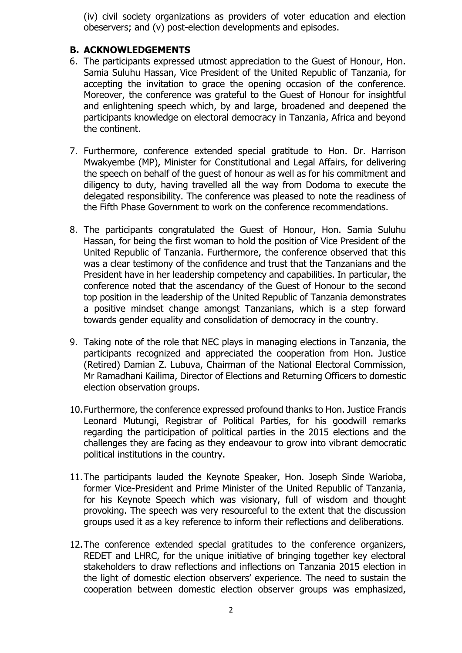(iv) civil society organizations as providers of voter education and election obeservers; and (v) post-election developments and episodes.

#### **B. ACKNOWLEDGEMENTS**

- 6. The participants expressed utmost appreciation to the Guest of Honour, Hon. Samia Suluhu Hassan, Vice President of the United Republic of Tanzania, for accepting the invitation to grace the opening occasion of the conference. Moreover, the conference was grateful to the Guest of Honour for insightful and enlightening speech which, by and large, broadened and deepened the participants knowledge on electoral democracy in Tanzania, Africa and beyond the continent.
- 7. Furthermore, conference extended special gratitude to Hon. Dr. Harrison Mwakyembe (MP), Minister for Constitutional and Legal Affairs, for delivering the speech on behalf of the guest of honour as well as for his commitment and diligency to duty, having travelled all the way from Dodoma to execute the delegated responsibility. The conference was pleased to note the readiness of the Fifth Phase Government to work on the conference recommendations.
- 8. The participants congratulated the Guest of Honour, Hon. Samia Suluhu Hassan, for being the first woman to hold the position of Vice President of the United Republic of Tanzania. Furthermore, the conference observed that this was a clear testimony of the confidence and trust that the Tanzanians and the President have in her leadership competency and capabilities. In particular, the conference noted that the ascendancy of the Guest of Honour to the second top position in the leadership of the United Republic of Tanzania demonstrates a positive mindset change amongst Tanzanians, which is a step forward towards gender equality and consolidation of democracy in the country.
- 9. Taking note of the role that NEC plays in managing elections in Tanzania, the participants recognized and appreciated the cooperation from Hon. Justice (Retired) Damian Z. Lubuva, Chairman of the National Electoral Commission, Mr Ramadhani Kailima, Director of Elections and Returning Officers to domestic election observation groups.
- 10.Furthermore, the conference expressed profound thanks to Hon. Justice Francis Leonard Mutungi, Registrar of Political Parties, for his goodwill remarks regarding the participation of political parties in the 2015 elections and the challenges they are facing as they endeavour to grow into vibrant democratic political institutions in the country.
- 11.The participants lauded the Keynote Speaker, Hon. Joseph Sinde Warioba, former Vice-President and Prime Minister of the United Republic of Tanzania, for his Keynote Speech which was visionary, full of wisdom and thought provoking. The speech was very resourceful to the extent that the discussion groups used it as a key reference to inform their reflections and deliberations.
- 12.The conference extended special gratitudes to the conference organizers, REDET and LHRC, for the unique initiative of bringing together key electoral stakeholders to draw reflections and inflections on Tanzania 2015 election in the light of domestic election observers' experience. The need to sustain the cooperation between domestic election observer groups was emphasized,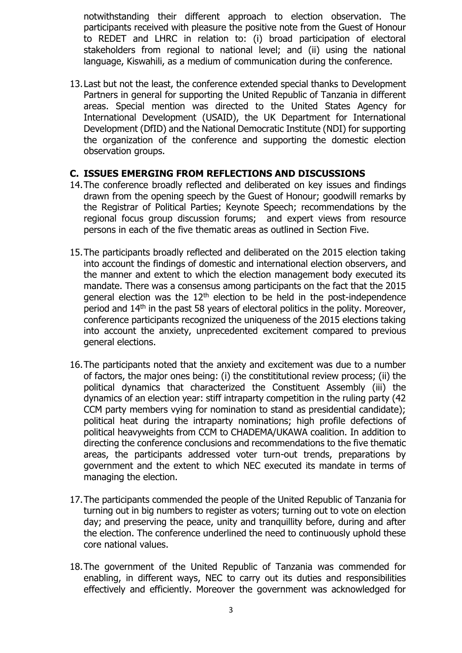notwithstanding their different approach to election observation. The participants received with pleasure the positive note from the Guest of Honour to REDET and LHRC in relation to: (i) broad participation of electoral stakeholders from regional to national level; and (ii) using the national language, Kiswahili, as a medium of communication during the conference.

13.Last but not the least, the conference extended special thanks to Development Partners in general for supporting the United Republic of Tanzania in different areas. Special mention was directed to the United States Agency for International Development (USAID), the UK Department for International Development (DfID) and the National Democratic Institute (NDI) for supporting the organization of the conference and supporting the domestic election observation groups.

#### **C. ISSUES EMERGING FROM REFLECTIONS AND DISCUSSIONS**

- 14.The conference broadly reflected and deliberated on key issues and findings drawn from the opening speech by the Guest of Honour; goodwill remarks by the Registrar of Political Parties; Keynote Speech; recommendations by the regional focus group discussion forums; and expert views from resource persons in each of the five thematic areas as outlined in Section Five.
- 15.The participants broadly reflected and deliberated on the 2015 election taking into account the findings of domestic and international election observers, and the manner and extent to which the election management body executed its mandate. There was a consensus among participants on the fact that the 2015 general election was the  $12<sup>th</sup>$  election to be held in the post-independence period and 14th in the past 58 years of electoral politics in the polity. Moreover, conference participants recognized the uniqueness of the 2015 elections taking into account the anxiety, unprecedented excitement compared to previous general elections.
- 16.The participants noted that the anxiety and excitement was due to a number of factors, the major ones being: (i) the constititutional review process; (ii) the political dynamics that characterized the Constituent Assembly (iii) the dynamics of an election year: stiff intraparty competition in the ruling party (42 CCM party members vying for nomination to stand as presidential candidate); political heat during the intraparty nominations; high profile defections of political heavyweights from CCM to CHADEMA/UKAWA coalition. In addition to directing the conference conclusions and recommendations to the five thematic areas, the participants addressed voter turn-out trends, preparations by government and the extent to which NEC executed its mandate in terms of managing the election.
- 17.The participants commended the people of the United Republic of Tanzania for turning out in big numbers to register as voters; turning out to vote on election day; and preserving the peace, unity and tranquillity before, during and after the election. The conference underlined the need to continuously uphold these core national values.
- 18.The government of the United Republic of Tanzania was commended for enabling, in different ways, NEC to carry out its duties and responsibilities effectively and efficiently. Moreover the government was acknowledged for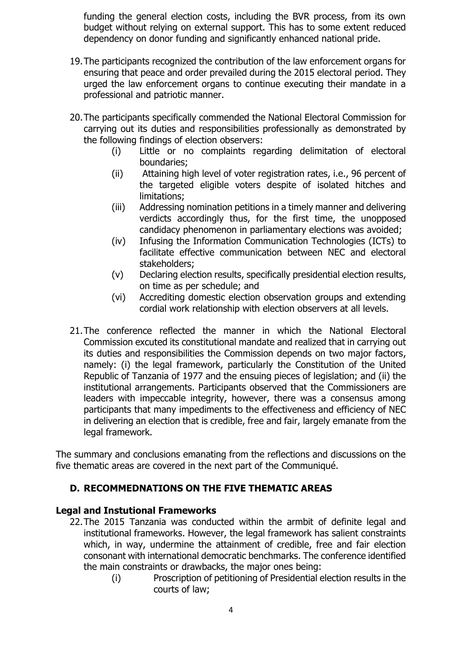funding the general election costs, including the BVR process, from its own budget without relying on external support. This has to some extent reduced dependency on donor funding and significantly enhanced national pride.

- 19.The participants recognized the contribution of the law enforcement organs for ensuring that peace and order prevailed during the 2015 electoral period. They urged the law enforcement organs to continue executing their mandate in a professional and patriotic manner.
- 20.The participants specifically commended the National Electoral Commission for carrying out its duties and responsibilities professionally as demonstrated by the following findings of election observers:
	- (i) Little or no complaints regarding delimitation of electoral boundaries;
	- (ii) Attaining high level of voter registration rates, i.e., 96 percent of the targeted eligible voters despite of isolated hitches and limitations;
	- (iii) Addressing nomination petitions in a timely manner and delivering verdicts accordingly thus, for the first time, the unopposed candidacy phenomenon in parliamentary elections was avoided;
	- (iv) Infusing the Information Communication Technologies (ICTs) to facilitate effective communication between NEC and electoral stakeholders;
	- (v) Declaring election results, specifically presidential election results, on time as per schedule; and
	- (vi) Accrediting domestic election observation groups and extending cordial work relationship with election observers at all levels.
- 21.The conference reflected the manner in which the National Electoral Commission excuted its constitutional mandate and realized that in carrying out its duties and responsibilities the Commission depends on two major factors, namely: (i) the legal framework, particularly the Constitution of the United Republic of Tanzania of 1977 and the ensuing pieces of legislation; and (ii) the institutional arrangements. Participants observed that the Commissioners are leaders with impeccable integrity, however, there was a consensus among participants that many impediments to the effectiveness and efficiency of NEC in delivering an election that is credible, free and fair, largely emanate from the legal framework.

The summary and conclusions emanating from the reflections and discussions on the five thematic areas are covered in the next part of the Communiqué.

# **D. RECOMMEDNATIONS ON THE FIVE THEMATIC AREAS**

#### **Legal and Instutional Frameworks**

- 22.The 2015 Tanzania was conducted within the armbit of definite legal and institutional frameworks. However, the legal framework has salient constraints which, in way, undermine the attainment of credible, free and fair election consonant with international democratic benchmarks. The conference identified the main constraints or drawbacks, the major ones being:
	- (i) Proscription of petitioning of Presidential election results in the courts of law;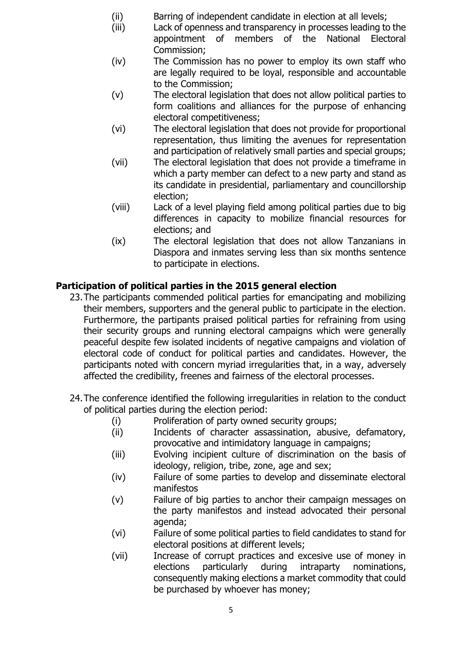- (ii) Barring of independent candidate in election at all levels;
- (iii) Lack of openness and transparency in processes leading to the appointment of members of the National Electoral Commission;
- (iv) The Commission has no power to employ its own staff who are legally required to be loyal, responsible and accountable to the Commission;
- (v) The electoral legislation that does not allow political parties to form coalitions and alliances for the purpose of enhancing electoral competitiveness;
- (vi) The electoral legislation that does not provide for proportional representation, thus limiting the avenues for representation and participation of relatively small parties and special groups;
- (vii) The electoral legislation that does not provide a timeframe in which a party member can defect to a new party and stand as its candidate in presidential, parliamentary and councillorship election;
- (viii) Lack of a level playing field among political parties due to big differences in capacity to mobilize financial resources for elections; and
- (ix) The electoral legislation that does not allow Tanzanians in Diaspora and inmates serving less than six months sentence to participate in elections.

# **Participation of political parties in the 2015 general election**

- 23.The participants commended political parties for emancipating and mobilizing their members, supporters and the general public to participate in the election. Furthermore, the partipants praised political parties for refraining from using their security groups and running electoral campaigns which were generally peaceful despite few isolated incidents of negative campaigns and violation of electoral code of conduct for political parties and candidates. However, the participants noted with concern myriad irregularities that, in a way, adversely affected the credibility, freenes and fairness of the electoral processes.
- 24.The conference identified the following irregularities in relation to the conduct of political parties during the election period:
	- (i) Proliferation of party owned security groups;
	- (ii) Incidents of character assassination, abusive, defamatory, provocative and intimidatory language in campaigns;
	- (iii) Evolving incipient culture of discrimination on the basis of ideology, religion, tribe, zone, age and sex;
	- (iv) Failure of some parties to develop and disseminate electoral manifestos
	- (v) Failure of big parties to anchor their campaign messages on the party manifestos and instead advocated their personal agenda;
	- (vi) Failure of some political parties to field candidates to stand for electoral positions at different levels;
	- (vii) Increase of corrupt practices and excesive use of money in elections particularly during intraparty nominations, consequently making elections a market commodity that could be purchased by whoever has money;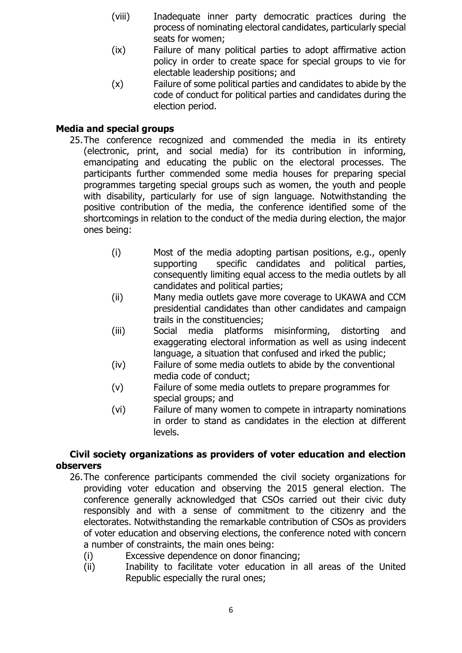- (viii) Inadequate inner party democratic practices during the process of nominating electoral candidates, particularly special seats for women;
- (ix) Failure of many political parties to adopt affirmative action policy in order to create space for special groups to vie for electable leadership positions; and
- (x) Failure of some political parties and candidates to abide by the code of conduct for political parties and candidates during the election period.

### **Media and special groups**

- 25.The conference recognized and commended the media in its entirety (electronic, print, and social media) for its contribution in informing, emancipating and educating the public on the electoral processes. The participants further commended some media houses for preparing special programmes targeting special groups such as women, the youth and people with disability, particularly for use of sign language. Notwithstanding the positive contribution of the media, the conference identified some of the shortcomings in relation to the conduct of the media during election, the major ones being:
	- (i) Most of the media adopting partisan positions, e.g., openly supporting specific candidates and political parties, consequently limiting equal access to the media outlets by all candidates and political parties;
	- (ii) Many media outlets gave more coverage to UKAWA and CCM presidential candidates than other candidates and campaign trails in the constituencies;
	- (iii) Social media platforms misinforming, distorting and exaggerating electoral information as well as using indecent language, a situation that confused and irked the public;
	- (iv) Failure of some media outlets to abide by the conventional media code of conduct;
	- (v) Failure of some media outlets to prepare programmes for special groups; and
	- (vi) Failure of many women to compete in intraparty nominations in order to stand as candidates in the election at different levels.

#### **Civil society organizations as providers of voter education and election observers**

- 26.The conference participants commended the civil society organizations for providing voter education and observing the 2015 general election. The conference generally acknowledged that CSOs carried out their civic duty responsibly and with a sense of commitment to the citizenry and the electorates. Notwithstanding the remarkable contribution of CSOs as providers of voter education and observing elections, the conference noted with concern a number of constraints, the main ones being:
	- (i) Excessive dependence on donor financing;
	- (ii) Inability to facilitate voter education in all areas of the United Republic especially the rural ones;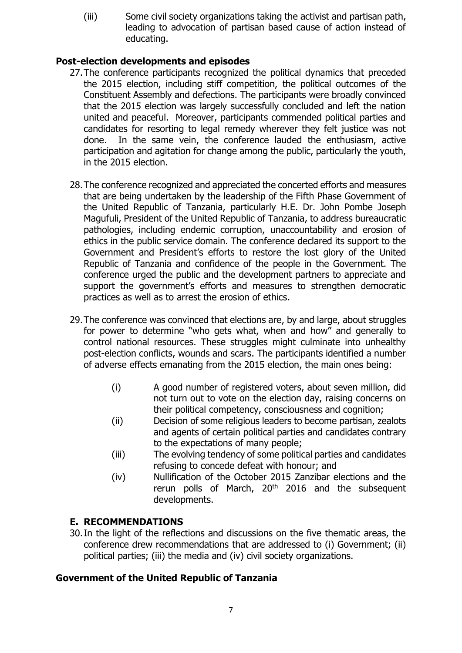(iii) Some civil society organizations taking the activist and partisan path, leading to advocation of partisan based cause of action instead of educating.

# **Post-election developments and episodes**

- 27.The conference participants recognized the political dynamics that preceded the 2015 election, including stiff competition, the political outcomes of the Constituent Assembly and defections. The participants were broadly convinced that the 2015 election was largely successfully concluded and left the nation united and peaceful. Moreover, participants commended political parties and candidates for resorting to legal remedy wherever they felt justice was not done. In the same vein, the conference lauded the enthusiasm, active participation and agitation for change among the public, particularly the youth, in the 2015 election.
- 28.The conference recognized and appreciated the concerted efforts and measures that are being undertaken by the leadership of the Fifth Phase Government of the United Republic of Tanzania, particularly H.E. Dr. John Pombe Joseph Magufuli, President of the United Republic of Tanzania, to address bureaucratic pathologies, including endemic corruption, unaccountability and erosion of ethics in the public service domain. The conference declared its support to the Government and President's efforts to restore the lost glory of the United Republic of Tanzania and confidence of the people in the Government. The conference urged the public and the development partners to appreciate and support the government's efforts and measures to strengthen democratic practices as well as to arrest the erosion of ethics.
- 29.The conference was convinced that elections are, by and large, about struggles for power to determine "who gets what, when and how" and generally to control national resources. These struggles might culminate into unhealthy post-election conflicts, wounds and scars. The participants identified a number of adverse effects emanating from the 2015 election, the main ones being:
	- (i) A good number of registered voters, about seven million, did not turn out to vote on the election day, raising concerns on their political competency, consciousness and cognition;
	- (ii) Decision of some religious leaders to become partisan, zealots and agents of certain political parties and candidates contrary to the expectations of many people;
	- (iii) The evolving tendency of some political parties and candidates refusing to concede defeat with honour; and
	- (iv) Nullification of the October 2015 Zanzibar elections and the rerun polls of March, 20<sup>th</sup> 2016 and the subsequent developments.

# **E. RECOMMENDATIONS**

30.In the light of the reflections and discussions on the five thematic areas, the conference drew recommendations that are addressed to (i) Government; (ii) political parties; (iii) the media and (iv) civil society organizations.

#### **Government of the United Republic of Tanzania**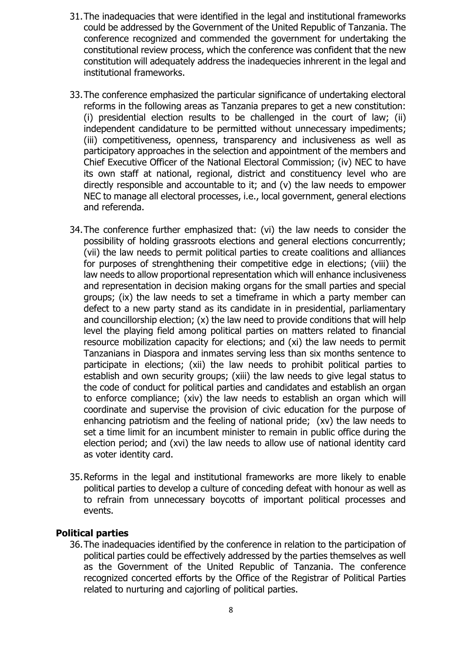- 31.The inadequacies that were identified in the legal and institutional frameworks could be addressed by the Government of the United Republic of Tanzania. The conference recognized and commended the government for undertaking the constitutional review process, which the conference was confident that the new constitution will adequately address the inadequecies inhrerent in the legal and institutional frameworks.
- 33.The conference emphasized the particular significance of undertaking electoral reforms in the following areas as Tanzania prepares to get a new constitution: (i) presidential election results to be challenged in the court of law; (ii) independent candidature to be permitted without unnecessary impediments; (iii) competitiveness, openness, transparency and inclusiveness as well as participatory approaches in the selection and appointment of the members and Chief Executive Officer of the National Electoral Commission; (iv) NEC to have its own staff at national, regional, district and constituency level who are directly responsible and accountable to it; and (v) the law needs to empower NEC to manage all electoral processes, i.e., local government, general elections and referenda.
- 34.The conference further emphasized that: (vi) the law needs to consider the possibility of holding grassroots elections and general elections concurrently; (vii) the law needs to permit political parties to create coalitions and alliances for purposes of strenghthening their competitive edge in elections; (viii) the law needs to allow proportional representation which will enhance inclusiveness and representation in decision making organs for the small parties and special groups; (ix) the law needs to set a timeframe in which a party member can defect to a new party stand as its candidate in in presidential, parliamentary and councillorship election; (x) the law need to provide conditions that will help level the playing field among political parties on matters related to financial resource mobilization capacity for elections; and (xi) the law needs to permit Tanzanians in Diaspora and inmates serving less than six months sentence to participate in elections; (xii) the law needs to prohibit political parties to establish and own security groups; (xiii) the law needs to give legal status to the code of conduct for political parties and candidates and establish an organ to enforce compliance; (xiv) the law needs to establish an organ which will coordinate and supervise the provision of civic education for the purpose of enhancing patriotism and the feeling of national pride; (xv) the law needs to set a time limit for an incumbent minister to remain in public office during the election period; and (xvi) the law needs to allow use of national identity card as voter identity card.
- 35.Reforms in the legal and institutional frameworks are more likely to enable political parties to develop a culture of conceding defeat with honour as well as to refrain from unnecessary boycotts of important political processes and events.

#### **Political parties**

36.The inadequacies identified by the conference in relation to the participation of political parties could be effectively addressed by the parties themselves as well as the Government of the United Republic of Tanzania. The conference recognized concerted efforts by the Office of the Registrar of Political Parties related to nurturing and cajorling of political parties.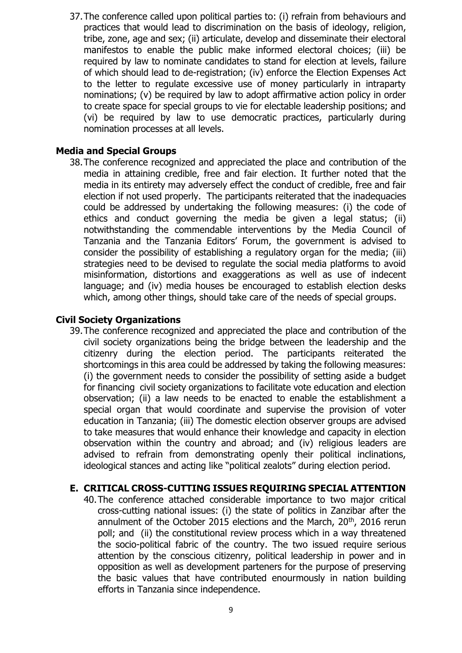37.The conference called upon political parties to: (i) refrain from behaviours and practices that would lead to discrimination on the basis of ideology, religion, tribe, zone, age and sex; (ii) articulate, develop and disseminate their electoral manifestos to enable the public make informed electoral choices; (iii) be required by law to nominate candidates to stand for election at levels, failure of which should lead to de-registration; (iv) enforce the Election Expenses Act to the letter to regulate excessive use of money particularly in intraparty nominations; (v) be required by law to adopt affirmative action policy in order to create space for special groups to vie for electable leadership positions; and (vi) be required by law to use democratic practices, particularly during nomination processes at all levels.

#### **Media and Special Groups**

38.The conference recognized and appreciated the place and contribution of the media in attaining credible, free and fair election. It further noted that the media in its entirety may adversely effect the conduct of credible, free and fair election if not used properly. The participants reiterated that the inadequacies could be addressed by undertaking the following measures: (i) the code of ethics and conduct governing the media be given a legal status; (ii) notwithstanding the commendable interventions by the Media Council of Tanzania and the Tanzania Editors' Forum, the government is advised to consider the possibility of establishing a regulatory organ for the media; (iii) strategies need to be devised to regulate the social media platforms to avoid misinformation, distortions and exaggerations as well as use of indecent language; and (iv) media houses be encouraged to establish election desks which, among other things, should take care of the needs of special groups.

#### **Civil Society Organizations**

39.The conference recognized and appreciated the place and contribution of the civil society organizations being the bridge between the leadership and the citizenry during the election period. The participants reiterated the shortcomings in this area could be addressed by taking the following measures: (i) the government needs to consider the possibility of setting aside a budget for financing civil society organizations to facilitate vote education and election observation; (ii) a law needs to be enacted to enable the establishment a special organ that would coordinate and supervise the provision of voter education in Tanzania; (iii) The domestic election observer groups are advised to take measures that would enhance their knowledge and capacity in election observation within the country and abroad; and (iv) religious leaders are advised to refrain from demonstrating openly their political inclinations, ideological stances and acting like "political zealots" during election period.

#### **E. CRITICAL CROSS-CUTTING ISSUES REQUIRING SPECIAL ATTENTION**

40.The conference attached considerable importance to two major critical cross-cutting national issues: (i) the state of politics in Zanzibar after the annulment of the October 2015 elections and the March, 20<sup>th</sup>, 2016 rerun poll; and (ii) the constitutional review process which in a way threatened the socio-political fabric of the country. The two issued require serious attention by the conscious citizenry, political leadership in power and in opposition as well as development parteners for the purpose of preserving the basic values that have contributed enourmously in nation building efforts in Tanzania since independence.